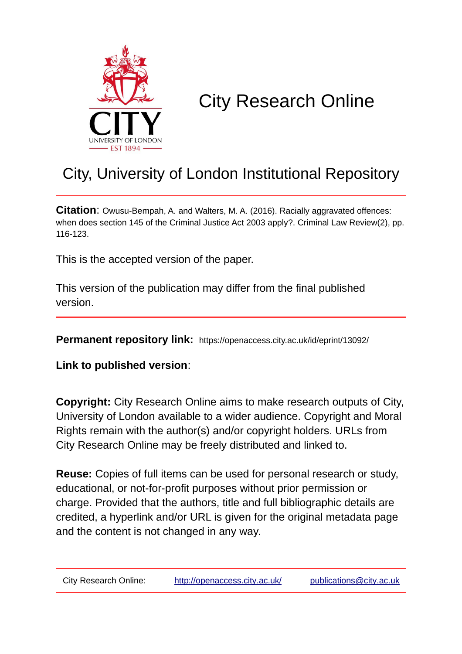

# City Research Online

# City, University of London Institutional Repository

**Citation:** Owusu-Bempah, A. and Walters, M. A. (2016). Racially aggravated offences: when does section 145 of the Criminal Justice Act 2003 apply?. Criminal Law Review(2), pp. 116-123.

This is the accepted version of the paper.

This version of the publication may differ from the final published version.

**Permanent repository link:** https://openaccess.city.ac.uk/id/eprint/13092/

**Link to published version**:

**Copyright:** City Research Online aims to make research outputs of City, University of London available to a wider audience. Copyright and Moral Rights remain with the author(s) and/or copyright holders. URLs from City Research Online may be freely distributed and linked to.

**Reuse:** Copies of full items can be used for personal research or study, educational, or not-for-profit purposes without prior permission or charge. Provided that the authors, title and full bibliographic details are credited, a hyperlink and/or URL is given for the original metadata page and the content is not changed in any way.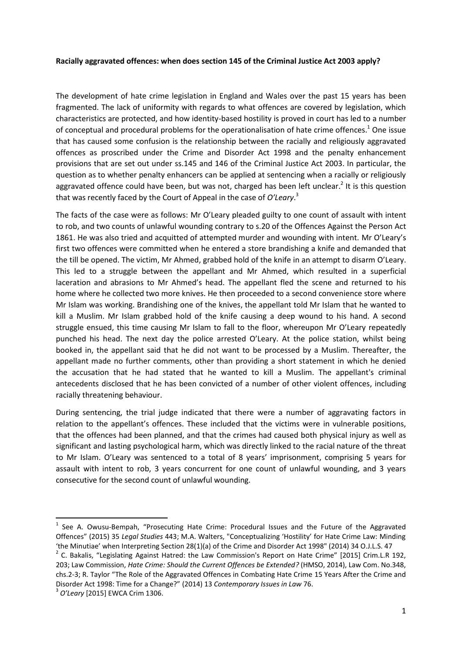#### **Racially aggravated offences: when does section 145 of the Criminal Justice Act 2003 apply?**

The development of hate crime legislation in England and Wales over the past 15 years has been fragmented. The lack of uniformity with regards to what offences are covered by legislation, which characteristics are protected, and how identity-based hostility is proved in court has led to a number of conceptual and procedural problems for the operationalisation of hate crime offences.<sup>1</sup> One issue that has caused some confusion is the relationship between the racially and religiously aggravated offences as proscribed under the Crime and Disorder Act 1998 and the penalty enhancement provisions that are set out under ss.145 and 146 of the Criminal Justice Act 2003. In particular, the question as to whether penalty enhancers can be applied at sentencing when a racially or religiously aggravated offence could have been, but was not, charged has been left unclear.<sup>2</sup> It is this question that was recently faced by the Court of Appeal in the case of *O'Leary*. 3

The facts of the case were as follows: Mr O'Leary pleaded guilty to one count of assault with intent to rob, and two counts of unlawful wounding contrary to s.20 of the Offences Against the Person Act 1861. He was also tried and acquitted of attempted murder and wounding with intent. Mr O'Leary's first two offences were committed when he entered a store brandishing a knife and demanded that the till be opened. The victim, Mr Ahmed, grabbed hold of the knife in an attempt to disarm O'Leary. This led to a struggle between the appellant and Mr Ahmed, which resulted in a superficial laceration and abrasions to Mr Ahmed's head. The appellant fled the scene and returned to his home where he collected two more knives. He then proceeded to a second convenience store where Mr Islam was working. Brandishing one of the knives, the appellant told Mr Islam that he wanted to kill a Muslim. Mr Islam grabbed hold of the knife causing a deep wound to his hand. A second struggle ensued, this time causing Mr Islam to fall to the floor, whereupon Mr O'Leary repeatedly punched his head. The next day the police arrested O'Leary. At the police station, whilst being booked in, the appellant said that he did not want to be processed by a Muslim. Thereafter, the appellant made no further comments, other than providing a short statement in which he denied the accusation that he had stated that he wanted to kill a Muslim. The appellant's criminal antecedents disclosed that he has been convicted of a number of other violent offences, including racially threatening behaviour.

During sentencing, the trial judge indicated that there were a number of aggravating factors in relation to the appellant's offences. These included that the victims were in vulnerable positions, that the offences had been planned, and that the crimes had caused both physical injury as well as significant and lasting psychological harm, which was directly linked to the racial nature of the threat to Mr Islam. O'Leary was sentenced to a total of 8 years' imprisonment, comprising 5 years for assault with intent to rob, 3 years concurrent for one count of unlawful wounding, and 3 years consecutive for the second count of unlawful wounding.

<sup>&</sup>lt;sup>1</sup> See A. Owusu-Bempah, "Prosecuting Hate Crime: Procedural Issues and the Future of the Aggravated Offences" (2015) 35 *Legal Studies* 443; M.A. Walters, "Conceptualizing 'Hostility' for Hate Crime Law: Minding 'the Minutiae' when Interpreting Section 28(1)(a) of the Crime and Disorder Act 1998" (2014) 34 O.J.L.S. 47

<sup>&</sup>lt;sup>2</sup> C. Bakalis, "Legislating Against Hatred: the Law Commission's Report on Hate Crime" [2015] Crim.L.R 192, 203; Law Commission, *Hate Crime: Should the Current Offences be Extended?* (HMSO, 2014), Law Com. No.348, chs.2-3; R. Taylor "The Role of the Aggravated Offences in Combating Hate Crime 15 Years After the Crime and Disorder Act 1998: Time for a Change?" (2014) 13 *Contemporary Issues in Law* 76.

<sup>3</sup> *O'Leary* [2015] EWCA Crim 1306.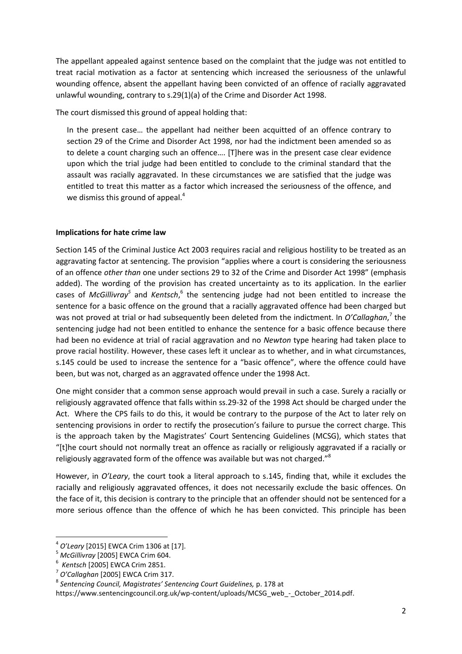The appellant appealed against sentence based on the complaint that the judge was not entitled to treat racial motivation as a factor at sentencing which increased the seriousness of the unlawful wounding offence, absent the appellant having been convicted of an offence of racially aggravated unlawful wounding, contrary to s.29(1)(a) of the Crime and Disorder Act 1998.

The court dismissed this ground of appeal holding that:

In the present case… the appellant had neither been acquitted of an offence contrary to section 29 of the Crime and Disorder Act 1998, nor had the indictment been amended so as to delete a count charging such an offence…. [T]here was in the present case clear evidence upon which the trial judge had been entitled to conclude to the criminal standard that the assault was racially aggravated. In these circumstances we are satisfied that the judge was entitled to treat this matter as a factor which increased the seriousness of the offence, and we dismiss this ground of appeal.<sup>4</sup>

# **Implications for hate crime law**

Section 145 of the Criminal Justice Act 2003 requires racial and religious hostility to be treated as an aggravating factor at sentencing. The provision "applies where a court is considering the seriousness of an offence *other than* one under sections 29 to 32 of the Crime and Disorder Act 1998" (emphasis added). The wording of the provision has created uncertainty as to its application. In the earlier cases of *McGillivray<sup>5</sup>* and Kentsch,<sup>6</sup> the sentencing judge had not been entitled to increase the sentence for a basic offence on the ground that a racially aggravated offence had been charged but was not proved at trial or had subsequently been deleted from the indictment. In *O'Callaghan*, 7 the sentencing judge had not been entitled to enhance the sentence for a basic offence because there had been no evidence at trial of racial aggravation and no *Newton* type hearing had taken place to prove racial hostility. However, these cases left it unclear as to whether, and in what circumstances, s.145 could be used to increase the sentence for a "basic offence", where the offence could have been, but was not, charged as an aggravated offence under the 1998 Act.

One might consider that a common sense approach would prevail in such a case. Surely a racially or religiously aggravated offence that falls within ss.29-32 of the 1998 Act should be charged under the Act. Where the CPS fails to do this, it would be contrary to the purpose of the Act to later rely on sentencing provisions in order to rectify the prosecution's failure to pursue the correct charge. This is the approach taken by the Magistrates' Court Sentencing Guidelines (MCSG), which states that "[t]he court should not normally treat an offence as racially or religiously aggravated if a racially or religiously aggravated form of the offence was available but was not charged."<sup>8</sup>

However, in *O'Leary*, the court took a literal approach to s.145, finding that, while it excludes the racially and religiously aggravated offences, it does not necessarily exclude the basic offences. On the face of it, this decision is contrary to the principle that an offender should not be sentenced for a more serious offence than the offence of which he has been convicted. This principle has been

<sup>4</sup> *O'Leary* [2015] EWCA Crim 1306 at [17].

<sup>5</sup> *McGillivray* [2005] EWCA Crim 604.

<sup>6</sup> *Kentsch* [2005] EWCA Crim 2851.

<sup>7</sup> *O'Callaghan* [2005] EWCA Crim 317.

<sup>8</sup> *Sentencing Council, Magistrates' Sentencing Court Guidelines,* p. 178 at

https://www.sentencingcouncil.org.uk/wp-content/uploads/MCSG\_web\_-\_October\_2014.pdf.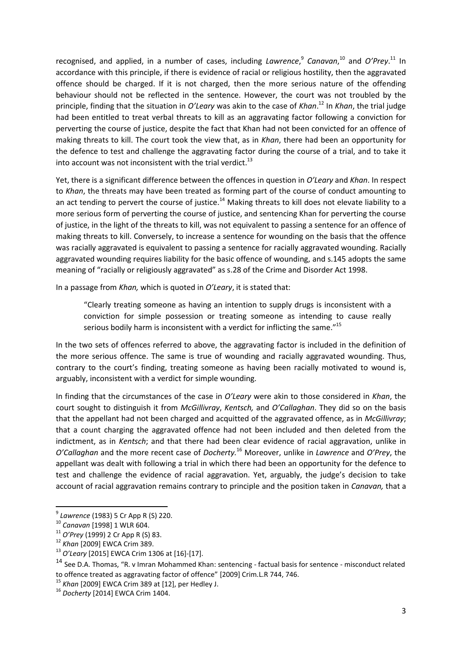recognised, and applied, in a number of cases, including *Lawrence*,<sup>9</sup> Canavan,<sup>10</sup> and O'Prey.<sup>11</sup> In accordance with this principle, if there is evidence of racial or religious hostility, then the aggravated offence should be charged. If it is not charged, then the more serious nature of the offending behaviour should not be reflected in the sentence. However, the court was not troubled by the principle, finding that the situation in *O'Leary* was akin to the case of *Khan*. <sup>12</sup> In *Khan*, the trial judge had been entitled to treat verbal threats to kill as an aggravating factor following a conviction for perverting the course of justice, despite the fact that Khan had not been convicted for an offence of making threats to kill. The court took the view that, as in *Khan*, there had been an opportunity for the defence to test and challenge the aggravating factor during the course of a trial, and to take it into account was not inconsistent with the trial verdict.<sup>13</sup>

Yet, there is a significant difference between the offences in question in *O'Leary* and *Khan*. In respect to *Khan*, the threats may have been treated as forming part of the course of conduct amounting to an act tending to pervert the course of justice.<sup>14</sup> Making threats to kill does not elevate liability to a more serious form of perverting the course of justice, and sentencing Khan for perverting the course of justice, in the light of the threats to kill, was not equivalent to passing a sentence for an offence of making threats to kill. Conversely, to increase a sentence for wounding on the basis that the offence was racially aggravated is equivalent to passing a sentence for racially aggravated wounding. Racially aggravated wounding requires liability for the basic offence of wounding, and s.145 adopts the same meaning of "racially or religiously aggravated" as s.28 of the Crime and Disorder Act 1998.

In a passage from *Khan,* which is quoted in *O'Leary*, it is stated that:

"Clearly treating someone as having an intention to supply drugs is inconsistent with a conviction for simple possession or treating someone as intending to cause really serious bodily harm is inconsistent with a verdict for inflicting the same."<sup>15</sup>

In the two sets of offences referred to above, the aggravating factor is included in the definition of the more serious offence. The same is true of wounding and racially aggravated wounding. Thus, contrary to the court's finding, treating someone as having been racially motivated to wound is, arguably, inconsistent with a verdict for simple wounding.

In finding that the circumstances of the case in *O'Leary* were akin to those considered in *Khan*, the court sought to distinguish it from *McGillivray*, *Kentsch,* and *O'Callaghan*. They did so on the basis that the appellant had not been charged and acquitted of the aggravated offence, as in *McGillivray*; that a count charging the aggravated offence had not been included and then deleted from the indictment, as in *Kentsch*; and that there had been clear evidence of racial aggravation, unlike in *O'Callaghan* and the more recent case of *Docherty.* <sup>16</sup> Moreover, unlike in *Lawrence* and *O'Prey*, the appellant was dealt with following a trial in which there had been an opportunity for the defence to test and challenge the evidence of racial aggravation. Yet, arguably, the judge's decision to take account of racial aggravation remains contrary to principle and the position taken in *Canavan,* that a

 9 *Lawrence* (1983) 5 Cr App R (S) 220.

<sup>10</sup> *Canavan* [1998] 1 WLR 604.

<sup>11</sup> *O'Prey* (1999) 2 Cr App R (S) 83.

<sup>12</sup> *Khan* [2009] EWCA Crim 389.

<sup>13</sup> *O'Leary* [2015] EWCA Crim 1306 at [16]-[17].

<sup>&</sup>lt;sup>14</sup> See D.A. Thomas, "R. v Imran Mohammed Khan: sentencing - factual basis for sentence - misconduct related to offence treated as aggravating factor of offence" [2009] Crim.L.R 744, 746.

<sup>15</sup> *Khan* [2009] EWCA Crim 389 at [12], per Hedley J.

<sup>16</sup> *Docherty* [2014] EWCA Crim 1404.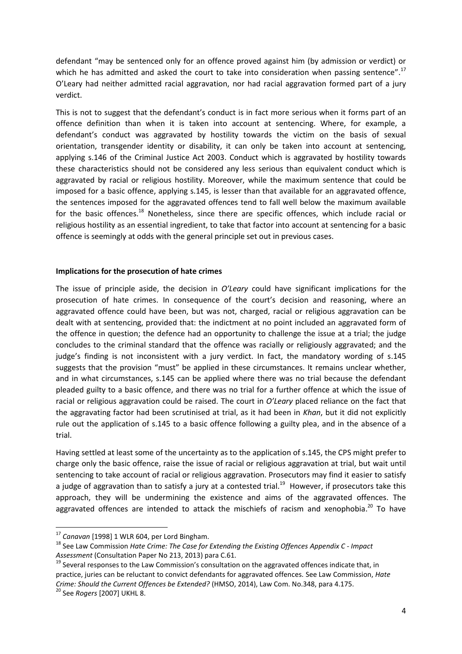defendant "may be sentenced only for an offence proved against him (by admission or verdict) or which he has admitted and asked the court to take into consideration when passing sentence".<sup>17</sup> O'Leary had neither admitted racial aggravation, nor had racial aggravation formed part of a jury verdict.

This is not to suggest that the defendant's conduct is in fact more serious when it forms part of an offence definition than when it is taken into account at sentencing. Where, for example, a defendant's conduct was aggravated by hostility towards the victim on the basis of sexual orientation, transgender identity or disability, it can only be taken into account at sentencing, applying s.146 of the Criminal Justice Act 2003. Conduct which is aggravated by hostility towards these characteristics should not be considered any less serious than equivalent conduct which is aggravated by racial or religious hostility. Moreover, while the maximum sentence that could be imposed for a basic offence, applying s.145, is lesser than that available for an aggravated offence, the sentences imposed for the aggravated offences tend to fall well below the maximum available for the basic offences.<sup>18</sup> Nonetheless, since there are specific offences, which include racial or religious hostility as an essential ingredient, to take that factor into account at sentencing for a basic offence is seemingly at odds with the general principle set out in previous cases.

## **Implications for the prosecution of hate crimes**

The issue of principle aside, the decision in *O'Leary* could have significant implications for the prosecution of hate crimes. In consequence of the court's decision and reasoning, where an aggravated offence could have been, but was not, charged, racial or religious aggravation can be dealt with at sentencing, provided that: the indictment at no point included an aggravated form of the offence in question; the defence had an opportunity to challenge the issue at a trial; the judge concludes to the criminal standard that the offence was racially or religiously aggravated; and the judge's finding is not inconsistent with a jury verdict. In fact, the mandatory wording of s.145 suggests that the provision "must" be applied in these circumstances. It remains unclear whether, and in what circumstances, s.145 can be applied where there was no trial because the defendant pleaded guilty to a basic offence, and there was no trial for a further offence at which the issue of racial or religious aggravation could be raised. The court in *O'Leary* placed reliance on the fact that the aggravating factor had been scrutinised at trial, as it had been in *Khan*, but it did not explicitly rule out the application of s.145 to a basic offence following a guilty plea, and in the absence of a trial.

Having settled at least some of the uncertainty as to the application of s.145, the CPS might prefer to charge only the basic offence, raise the issue of racial or religious aggravation at trial, but wait until sentencing to take account of racial or religious aggravation. Prosecutors may find it easier to satisfy a judge of aggravation than to satisfy a jury at a contested trial.<sup>19</sup> However, if prosecutors take this approach, they will be undermining the existence and aims of the aggravated offences. The aggravated offences are intended to attack the mischiefs of racism and xenophobia.<sup>20</sup> To have

 $\overline{a}$ 

<sup>17</sup> *Canavan* [1998] 1 WLR 604, per Lord Bingham.

<sup>18</sup> See Law Commission *Hate Crime: The Case for Extending the Existing Offences Appendix C - Impact Assessment* (Consultation Paper No 213, 2013) para C.61.

 $19$  Several responses to the Law Commission's consultation on the aggravated offences indicate that, in practice, juries can be reluctant to convict defendants for aggravated offences. See Law Commission, *Hate Crime: Should the Current Offences be Extended?* (HMSO, 2014), Law Com. No.348, para 4.175.

<sup>20</sup> See *Rogers* [2007] UKHL 8.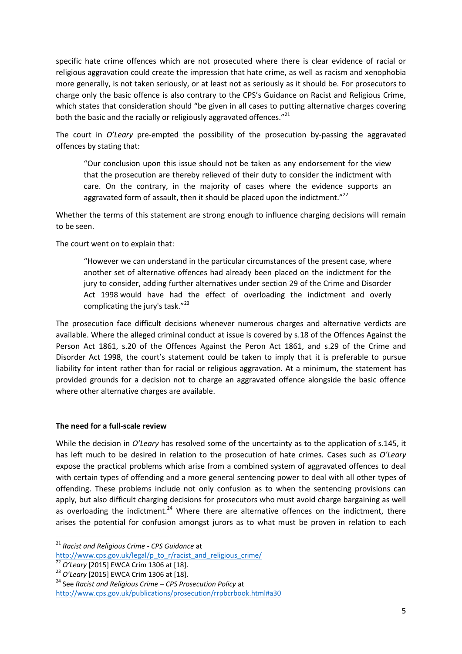specific hate crime offences which are not prosecuted where there is clear evidence of racial or religious aggravation could create the impression that hate crime, as well as racism and xenophobia more generally, is not taken seriously, or at least not as seriously as it should be. For prosecutors to charge only the basic offence is also contrary to the CPS's Guidance on Racist and Religious Crime, which states that consideration should "be given in all cases to putting alternative charges covering both the basic and the racially or religiously aggravated offences."<sup>21</sup>

The court in *O'Leary* pre-empted the possibility of the prosecution by-passing the aggravated offences by stating that:

"Our conclusion upon this issue should not be taken as any endorsement for the view that the prosecution are thereby relieved of their duty to consider the indictment with care. On the contrary, in the majority of cases where the evidence supports an aggravated form of assault, then it should be placed upon the indictment."<sup>22</sup>

Whether the terms of this statement are strong enough to influence charging decisions will remain to be seen.

The court went on to explain that:

"However we can understand in the particular circumstances of the present case, where another set of alternative offences had already been placed on the indictment for the jury to consider, adding further alternatives under section 29 of the Crime and Disorder Act 1998 would have had the effect of overloading the indictment and overly complicating the jury's task."<sup>23</sup>

The prosecution face difficult decisions whenever numerous charges and alternative verdicts are available. Where the alleged criminal conduct at issue is covered by s.18 of the Offences Against the Person Act 1861, s.20 of the Offences Against the Peron Act 1861, and s.29 of the Crime and Disorder Act 1998, the court's statement could be taken to imply that it is preferable to pursue liability for intent rather than for racial or religious aggravation. At a minimum, the statement has provided grounds for a decision not to charge an aggravated offence alongside the basic offence where other alternative charges are available.

## **The need for a full-scale review**

While the decision in *O'Leary* has resolved some of the uncertainty as to the application of s.145, it has left much to be desired in relation to the prosecution of hate crimes. Cases such as *O'Leary*  expose the practical problems which arise from a combined system of aggravated offences to deal with certain types of offending and a more general sentencing power to deal with all other types of offending. These problems include not only confusion as to when the sentencing provisions can apply, but also difficult charging decisions for prosecutors who must avoid charge bargaining as well as overloading the indictment.<sup>24</sup> Where there are alternative offences on the indictment, there arises the potential for confusion amongst jurors as to what must be proven in relation to each

**<sup>.</sup>** <sup>21</sup> *Racist and Religious Crime - CPS Guidance* at [http://www.cps.gov.uk/legal/p\\_to\\_r/racist\\_and\\_religious\\_crime/](http://www.cps.gov.uk/legal/p_to_r/racist_and_religious_crime/)

<sup>22</sup> *O'Leary* [2015] EWCA Crim 1306 at [18].

<sup>23</sup> *O'Leary* [2015] EWCA Crim 1306 at [18].

<sup>24</sup> See *Racist and Religious Crime – CPS Prosecution Policy* at

<http://www.cps.gov.uk/publications/prosecution/rrpbcrbook.html#a30>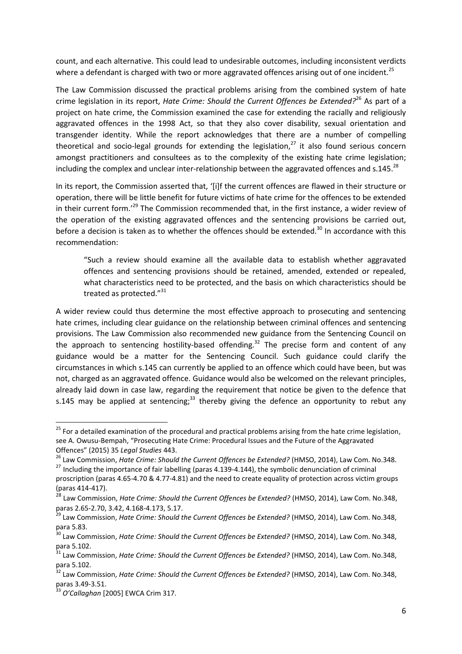count, and each alternative. This could lead to undesirable outcomes, including inconsistent verdicts where a defendant is charged with two or more aggravated offences arising out of one incident.<sup>25</sup>

The Law Commission discussed the practical problems arising from the combined system of hate crime legislation in its report, *Hate Crime: Should the Current Offences be Extended?*<sup>26</sup> As part of a project on hate crime, the Commission examined the case for extending the racially and religiously aggravated offences in the 1998 Act, so that they also cover disability, sexual orientation and transgender identity. While the report acknowledges that there are a number of compelling theoretical and socio-legal grounds for extending the legislation, $^{27}$  it also found serious concern amongst practitioners and consultees as to the complexity of the existing hate crime legislation; including the complex and unclear inter-relationship between the aggravated offences and s.145.<sup>28</sup>

In its report, the Commission asserted that, '[i]f the current offences are flawed in their structure or operation, there will be little benefit for future victims of hate crime for the offences to be extended in their current form.<sup>229</sup> The Commission recommended that, in the first instance, a wider review of the operation of the existing aggravated offences and the sentencing provisions be carried out, before a decision is taken as to whether the offences should be extended.<sup>30</sup> In accordance with this recommendation:

"Such a review should examine all the available data to establish whether aggravated offences and sentencing provisions should be retained, amended, extended or repealed, what characteristics need to be protected, and the basis on which characteristics should be treated as protected."<sup>31</sup>

A wider review could thus determine the most effective approach to prosecuting and sentencing hate crimes, including clear guidance on the relationship between criminal offences and sentencing provisions. The Law Commission also recommended new guidance from the Sentencing Council on the approach to sentencing hostility-based offending.<sup>32</sup> The precise form and content of any guidance would be a matter for the Sentencing Council. Such guidance could clarify the circumstances in which s.145 can currently be applied to an offence which could have been, but was not, charged as an aggravated offence. Guidance would also be welcomed on the relevant principles, already laid down in case law, regarding the requirement that notice be given to the defence that s.145 may be applied at sentencing;<sup>33</sup> thereby giving the defence an opportunity to rebut any

<sup>&</sup>lt;sup>25</sup> For a detailed examination of the procedural and practical problems arising from the hate crime legislation, see A. Owusu-Bempah, "Prosecuting Hate Crime: Procedural Issues and the Future of the Aggravated Offences" (2015) 35 *Legal Studies* 443.

<sup>&</sup>lt;sup>26</sup> Law Commission, *Hate Crime: Should the Current Offences be Extended?* (HMSO, 2014), Law Com. No.348. <sup>27</sup> Including the importance of fair labelling (paras 4.139-4.144), the symbolic denunciation of criminal

proscription (paras 4.65-4.70 & 4.77-4.81) and the need to create equality of protection across victim groups (paras 414-417).

<sup>28</sup> Law Commission, *Hate Crime: Should the Current Offences be Extended?* (HMSO, 2014), Law Com. No.348, paras 2.65-2.70, 3.42, 4.168-4.173, 5.17.

<sup>29</sup> Law Commission, *Hate Crime: Should the Current Offences be Extended?* (HMSO, 2014), Law Com. No.348, para 5.83.

<sup>30</sup> Law Commission, *Hate Crime: Should the Current Offences be Extended?* (HMSO, 2014), Law Com. No.348, para 5.102.

<sup>&</sup>lt;sup>31</sup> Law Commission, *Hate Crime: Should the Current Offences be Extended?* (HMSO, 2014), Law Com. No.348, para 5.102.

<sup>32</sup> Law Commission, *Hate Crime: Should the Current Offences be Extended?* (HMSO, 2014), Law Com. No.348, paras 3.49-3.51.

<sup>33</sup> *O'Callaghan* [2005] EWCA Crim 317.